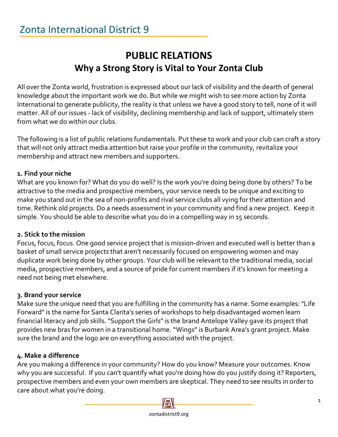# **PUBLIC RELATIONS Why a Strong Story is Vital to Your Zonta Club**

All over the Zonta world, frustration is expressed about our lack of visibility and the dearth of general knowledge about the important work we do. But while we might wish to see more action by Zonta International to generate publicity, the reality is that unless we have a good story to tell, none of it will matter. All of our issues - lack of visibility, declining membership and lack of support, ultimately stem from what we do within our clubs.

The following is a list of public relations fundamentals. Put these to work and your club can craft a story that will not only attract media attention but raise your profile in the community, revitalize your membership and attract new members and supporters.

## **1. Find your niche**

What are you known for? What do you do well? Is the work you're doing being done by others? To be attractive to the media and prospective members, your service needs to be unique and exciting to make you stand out in the sea of non-profits and rival service clubs all vying for their attention and time. Rethink old projects. Do a needs assessment in your community and find a new project. Keep it simple. You should be able to describe what you do in a compelling way in 15 seconds.

#### **2. Stick to the mission**

Focus, focus, focus. One good service project that is mission-driven and executed well is better than a basket of small service projects that aren't necessarily focused on empowering women and may duplicate work being done by other groups. Your club will be relevant to the traditional media, social media, prospective members, and a source of pride for current members if it's known for meeting a need not being met elsewhere.

## **3. Brand your service**

Make sure the unique need that you are fulfilling in the community has a name. Some examples: "Life Forward" is the name for Santa Clarita's series of workshops to help disadvantaged women learn financial literacy and job skills. "Support the Girls" is the brand Antelope Valley gave its project that provides new bras for women in a transitional home. "Wings" is Burbank Area's grant project. Make sure the brand and the logo are on everything associated with the project.

#### **4. Make a difference**

Are you making a difference in your community? How do you know? Measure your outcomes. Know why you are successful. If you can't quantify what you're doing how do you justify doing it? Reporters, prospective members and even your own members are skeptical. They need to see results in order to care about what you're doing.